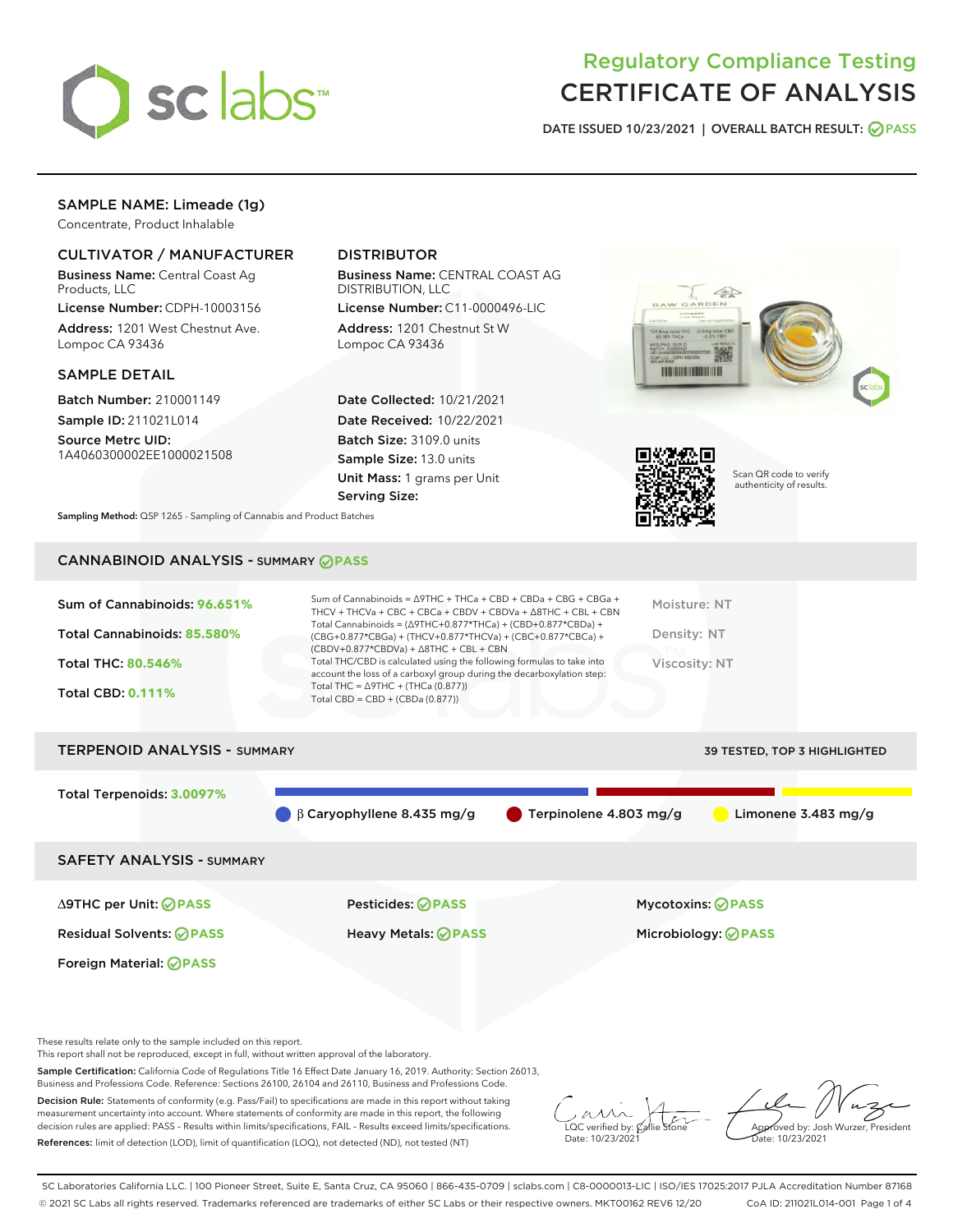

# Regulatory Compliance Testing CERTIFICATE OF ANALYSIS

DATE ISSUED 10/23/2021 | OVERALL BATCH RESULT: @ PASS

# SAMPLE NAME: Limeade (1g)

Concentrate, Product Inhalable

# CULTIVATOR / MANUFACTURER

Business Name: Central Coast Ag Products, LLC

License Number: CDPH-10003156 Address: 1201 West Chestnut Ave. Lompoc CA 93436

#### SAMPLE DETAIL

Batch Number: 210001149 Sample ID: 211021L014

Source Metrc UID: 1A4060300002EE1000021508

# DISTRIBUTOR

Business Name: CENTRAL COAST AG DISTRIBUTION, LLC

License Number: C11-0000496-LIC Address: 1201 Chestnut St W Lompoc CA 93436

Date Collected: 10/21/2021 Date Received: 10/22/2021 Batch Size: 3109.0 units Sample Size: 13.0 units Unit Mass: 1 grams per Unit Serving Size:





Scan QR code to verify authenticity of results.

Sampling Method: QSP 1265 - Sampling of Cannabis and Product Batches

# CANNABINOID ANALYSIS - SUMMARY **PASS**

| Total Cannabinoids = $(\Delta$ 9THC+0.877*THCa) + (CBD+0.877*CBDa) +<br>Total Cannabinoids: 85.580%<br>Density: NT<br>(CBG+0.877*CBGa) + (THCV+0.877*THCVa) + (CBC+0.877*CBCa) +<br>$(CBDV+0.877*CBDVa) + \Delta 8THC + CBL + CBN$<br>Total THC/CBD is calculated using the following formulas to take into<br><b>Total THC: 80.546%</b><br>Viscosity: NT<br>account the loss of a carboxyl group during the decarboxylation step:<br>Total THC = $\triangle$ 9THC + (THCa (0.877))<br><b>Total CBD: 0.111%</b><br>Total CBD = $CBD + (CBDa (0.877))$ | Sum of Cannabinoids: 96.651% | Sum of Cannabinoids = Δ9THC + THCa + CBD + CBDa + CBG + CBGa +<br>THCV + THCVa + CBC + CBCa + CBDV + CBDVa + $\Delta$ 8THC + CBL + CBN | Moisture: NT |
|-------------------------------------------------------------------------------------------------------------------------------------------------------------------------------------------------------------------------------------------------------------------------------------------------------------------------------------------------------------------------------------------------------------------------------------------------------------------------------------------------------------------------------------------------------|------------------------------|----------------------------------------------------------------------------------------------------------------------------------------|--------------|
|                                                                                                                                                                                                                                                                                                                                                                                                                                                                                                                                                       |                              |                                                                                                                                        |              |
|                                                                                                                                                                                                                                                                                                                                                                                                                                                                                                                                                       |                              |                                                                                                                                        |              |
|                                                                                                                                                                                                                                                                                                                                                                                                                                                                                                                                                       |                              |                                                                                                                                        |              |

| <b>TERPENOID ANALYSIS - SUMMARY</b> |                                  |                                  | 39 TESTED, TOP 3 HIGHLIGHTED |
|-------------------------------------|----------------------------------|----------------------------------|------------------------------|
| Total Terpenoids: 3.0097%           | $\beta$ Caryophyllene 8.435 mg/g | $\bullet$ Terpinolene 4.803 mg/g | Limonene $3.483$ mg/g        |
| <b>SAFETY ANALYSIS - SUMMARY</b>    |                                  |                                  |                              |
|                                     |                                  |                                  |                              |

Foreign Material: **PASS**

Residual Solvents: **PASS** Heavy Metals: **PASS** Microbiology: **PASS**

∆9THC per Unit: **PASS** Pesticides: **PASS** Mycotoxins: **PASS**

These results relate only to the sample included on this report.

This report shall not be reproduced, except in full, without written approval of the laboratory.

Sample Certification: California Code of Regulations Title 16 Effect Date January 16, 2019. Authority: Section 26013, Business and Professions Code. Reference: Sections 26100, 26104 and 26110, Business and Professions Code.

Decision Rule: Statements of conformity (e.g. Pass/Fail) to specifications are made in this report without taking measurement uncertainty into account. Where statements of conformity are made in this report, the following decision rules are applied: PASS – Results within limits/specifications, FAIL – Results exceed limits/specifications. References: limit of detection (LOD), limit of quantification (LOQ), not detected (ND), not tested (NT)

 $\overline{\text{LOC}}$  verified by:  $\mathcal C$ Date: 10/23/2021

Approved by: Josh Wurzer, President ate: 10/23/2021

SC Laboratories California LLC. | 100 Pioneer Street, Suite E, Santa Cruz, CA 95060 | 866-435-0709 | sclabs.com | C8-0000013-LIC | ISO/IES 17025:2017 PJLA Accreditation Number 87168 © 2021 SC Labs all rights reserved. Trademarks referenced are trademarks of either SC Labs or their respective owners. MKT00162 REV6 12/20 CoA ID: 211021L014-001 Page 1 of 4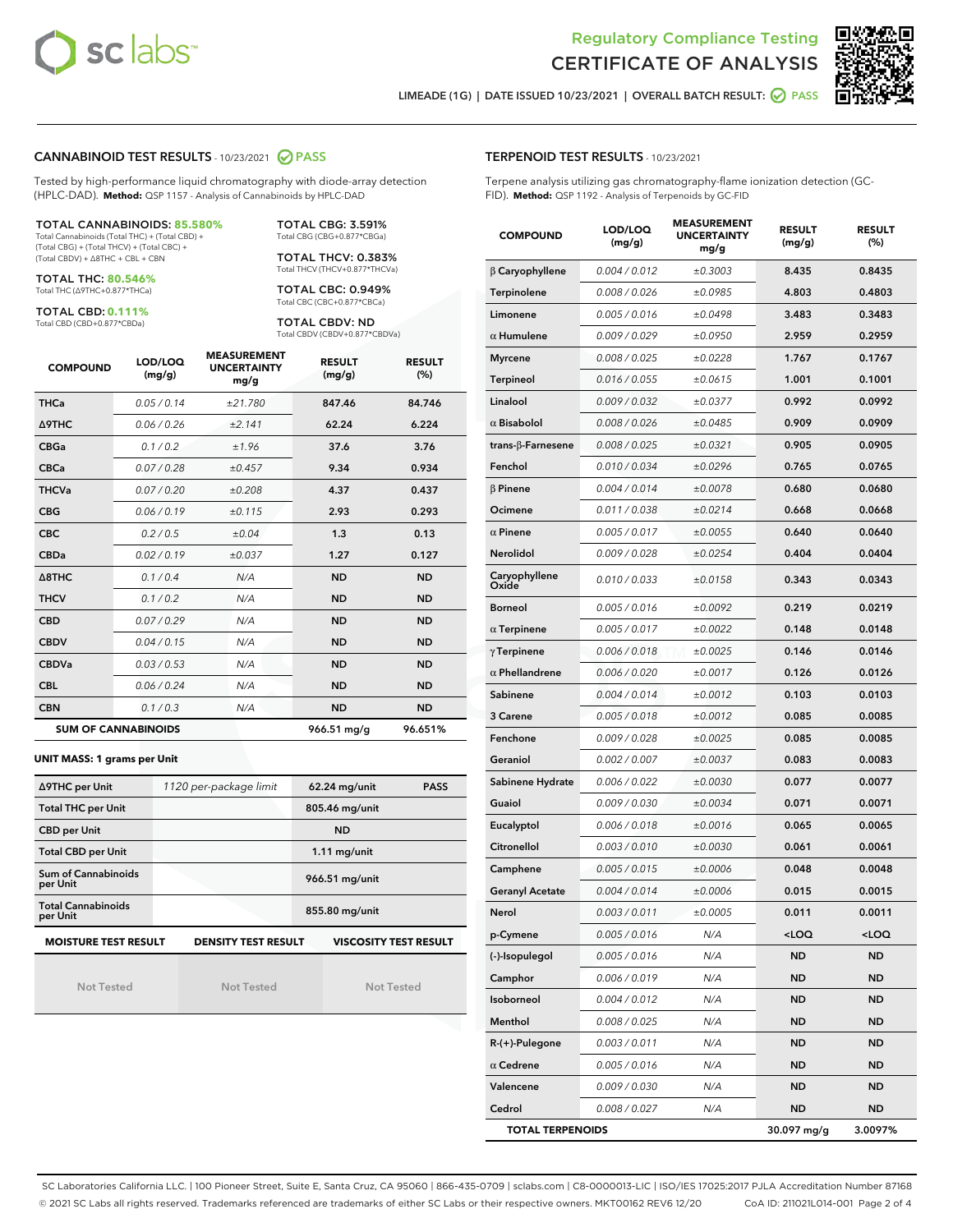



LIMEADE (1G) | DATE ISSUED 10/23/2021 | OVERALL BATCH RESULT:  $\bigcirc$  PASS

#### CANNABINOID TEST RESULTS - 10/23/2021 2 PASS

Tested by high-performance liquid chromatography with diode-array detection (HPLC-DAD). **Method:** QSP 1157 - Analysis of Cannabinoids by HPLC-DAD

#### TOTAL CANNABINOIDS: **85.580%**

Total Cannabinoids (Total THC) + (Total CBD) + (Total CBG) + (Total THCV) + (Total CBC) + (Total CBDV) + ∆8THC + CBL + CBN

TOTAL THC: **80.546%** Total THC (∆9THC+0.877\*THCa)

TOTAL CBD: **0.111%**

Total CBD (CBD+0.877\*CBDa)

TOTAL CBG: 3.591% Total CBG (CBG+0.877\*CBGa)

TOTAL THCV: 0.383% Total THCV (THCV+0.877\*THCVa)

TOTAL CBC: 0.949% Total CBC (CBC+0.877\*CBCa)

TOTAL CBDV: ND Total CBDV (CBDV+0.877\*CBDVa)

| <b>COMPOUND</b>            | LOD/LOQ<br>(mg/g) | <b>MEASUREMENT</b><br><b>UNCERTAINTY</b><br>mg/g | <b>RESULT</b><br>(mg/g) | <b>RESULT</b><br>(%) |
|----------------------------|-------------------|--------------------------------------------------|-------------------------|----------------------|
| <b>THCa</b>                | 0.05/0.14         | ±21.780                                          | 847.46                  | 84.746               |
| <b>A9THC</b>               | 0.06 / 0.26       | ±2.141                                           | 62.24                   | 6.224                |
| <b>CBGa</b>                | 0.1 / 0.2         | ±1.96                                            | 37.6                    | 3.76                 |
| <b>CBCa</b>                | 0.07/0.28         | ±0.457                                           | 9.34                    | 0.934                |
| <b>THCVa</b>               | 0.07 / 0.20       | ±0.208                                           | 4.37                    | 0.437                |
| <b>CBG</b>                 | 0.06/0.19         | ±0.115                                           | 2.93                    | 0.293                |
| <b>CBC</b>                 | 0.2 / 0.5         | ±0.04                                            | 1.3                     | 0.13                 |
| <b>CBDa</b>                | 0.02/0.19         | ±0.037                                           | 1.27                    | 0.127                |
| $\triangle$ 8THC           | 0.1 / 0.4         | N/A                                              | <b>ND</b>               | <b>ND</b>            |
| <b>THCV</b>                | 0.1 / 0.2         | N/A                                              | <b>ND</b>               | <b>ND</b>            |
| <b>CBD</b>                 | 0.07/0.29         | N/A                                              | <b>ND</b>               | <b>ND</b>            |
| <b>CBDV</b>                | 0.04 / 0.15       | N/A                                              | <b>ND</b>               | <b>ND</b>            |
| <b>CBDVa</b>               | 0.03 / 0.53       | N/A                                              | <b>ND</b>               | <b>ND</b>            |
| <b>CBL</b>                 | 0.06 / 0.24       | N/A                                              | <b>ND</b>               | <b>ND</b>            |
| <b>CBN</b>                 | 0.1/0.3           | N/A                                              | <b>ND</b>               | <b>ND</b>            |
| <b>SUM OF CANNABINOIDS</b> |                   |                                                  | 966.51 mg/g             | 96.651%              |

#### **UNIT MASS: 1 grams per Unit**

| ∆9THC per Unit                                                                            | 1120 per-package limit | $62.24$ mg/unit<br><b>PASS</b> |  |  |  |
|-------------------------------------------------------------------------------------------|------------------------|--------------------------------|--|--|--|
| <b>Total THC per Unit</b>                                                                 |                        | 805.46 mg/unit                 |  |  |  |
| <b>CBD per Unit</b>                                                                       |                        | <b>ND</b>                      |  |  |  |
| <b>Total CBD per Unit</b>                                                                 |                        | $1.11$ mg/unit                 |  |  |  |
| Sum of Cannabinoids<br>per Unit                                                           |                        | 966.51 mg/unit                 |  |  |  |
| <b>Total Cannabinoids</b><br>per Unit                                                     |                        | 855.80 mg/unit                 |  |  |  |
| <b>MOISTURE TEST RESULT</b><br><b>DENSITY TEST RESULT</b><br><b>VISCOSITY TEST RESULT</b> |                        |                                |  |  |  |

Not Tested

Not Tested

Not Tested

#### TERPENOID TEST RESULTS - 10/23/2021

Terpene analysis utilizing gas chromatography-flame ionization detection (GC-FID). **Method:** QSP 1192 - Analysis of Terpenoids by GC-FID

| <b>COMPOUND</b>           | LOD/LOQ<br>(mg/g) | <b>MEASUREMENT</b><br><b>UNCERTAINTY</b><br>mg/g | <b>RESULT</b><br>(mg/g) | <b>RESULT</b><br>(%) |
|---------------------------|-------------------|--------------------------------------------------|-------------------------|----------------------|
| $\beta$ Caryophyllene     | 0.004 / 0.012     | ±0.3003                                          | 8.435                   | 0.8435               |
| Terpinolene               | 0.008 / 0.026     | ±0.0985                                          | 4.803                   | 0.4803               |
| Limonene                  | 0.005 / 0.016     | ±0.0498                                          | 3.483                   | 0.3483               |
| $\alpha$ Humulene         | 0.009 / 0.029     | ±0.0950                                          | 2.959                   | 0.2959               |
| <b>Myrcene</b>            | 0.008 / 0.025     | ±0.0228                                          | 1.767                   | 0.1767               |
| <b>Terpineol</b>          | 0.016 / 0.055     | ±0.0615                                          | 1.001                   | 0.1001               |
| Linalool                  | 0.009 / 0.032     | ±0.0377                                          | 0.992                   | 0.0992               |
| $\alpha$ Bisabolol        | 0.008 / 0.026     | ±0.0485                                          | 0.909                   | 0.0909               |
| trans- $\beta$ -Farnesene | 0.008 / 0.025     | ±0.0321                                          | 0.905                   | 0.0905               |
| Fenchol                   | 0.010 / 0.034     | ±0.0296                                          | 0.765                   | 0.0765               |
| $\beta$ Pinene            | 0.004 / 0.014     | ±0.0078                                          | 0.680                   | 0.0680               |
| Ocimene                   | 0.011 / 0.038     | ±0.0214                                          | 0.668                   | 0.0668               |
| $\alpha$ Pinene           | 0.005 / 0.017     | ±0.0055                                          | 0.640                   | 0.0640               |
| Nerolidol                 | 0.009 / 0.028     | ±0.0254                                          | 0.404                   | 0.0404               |
| Caryophyllene<br>Oxide    | 0.010 / 0.033     | ±0.0158                                          | 0.343                   | 0.0343               |
| <b>Borneol</b>            | 0.005 / 0.016     | ±0.0092                                          | 0.219                   | 0.0219               |
| $\alpha$ Terpinene        | 0.005 / 0.017     | ±0.0022                                          | 0.148                   | 0.0148               |
| $\gamma$ Terpinene        | 0.006 / 0.018     | ±0.0025                                          | 0.146                   | 0.0146               |
| $\alpha$ Phellandrene     | 0.006 / 0.020     | ±0.0017                                          | 0.126                   | 0.0126               |
| Sabinene                  | 0.004 / 0.014     | ±0.0012                                          | 0.103                   | 0.0103               |
| 3 Carene                  | 0.005 / 0.018     | ±0.0012                                          | 0.085                   | 0.0085               |
| Fenchone                  | 0.009 / 0.028     | ±0.0025                                          | 0.085                   | 0.0085               |
| Geraniol                  | 0.002 / 0.007     | ±0.0037                                          | 0.083                   | 0.0083               |
| Sabinene Hydrate          | 0.006 / 0.022     | ±0.0030                                          | 0.077                   | 0.0077               |
| Guaiol                    | 0.009 / 0.030     | ±0.0034                                          | 0.071                   | 0.0071               |
| Eucalyptol                | 0.006 / 0.018     | ±0.0016                                          | 0.065                   | 0.0065               |
| Citronellol               | 0.003 / 0.010     | ±0.0030                                          | 0.061                   | 0.0061               |
| Camphene                  | 0.005 / 0.015     | ±0.0006                                          | 0.048                   | 0.0048               |
| Geranyl Acetate           | 0.004 / 0.014     | ±0.0006                                          | 0.015                   | 0.0015               |
| Nerol                     | 0.003 / 0.011     | ±0.0005                                          | 0.011                   | 0.0011               |
| p-Cymene                  | 0.005 / 0.016     | N/A                                              | $<$ LOQ                 | <loq< th=""></loq<>  |
| (-)-Isopulegol            | 0.005 / 0.016     | N/A                                              | ND                      | <b>ND</b>            |
| Camphor                   | 0.006 / 0.019     | N/A                                              | ND                      | ND                   |
| Isoborneol                | 0.004 / 0.012     | N/A                                              | ND                      | ND                   |
| Menthol                   | 0.008 / 0.025     | N/A                                              | ND                      | ND                   |
| R-(+)-Pulegone            | 0.003 / 0.011     | N/A                                              | ND                      | ND                   |
| $\alpha$ Cedrene          | 0.005 / 0.016     | N/A                                              | ND                      | ND                   |
| Valencene                 | 0.009 / 0.030     | N/A                                              | ND                      | ND                   |
| Cedrol                    | 0.008 / 0.027     | N/A                                              | ND                      | ND                   |
| <b>TOTAL TERPENOIDS</b>   |                   |                                                  | 30.097 mg/g             | 3.0097%              |

SC Laboratories California LLC. | 100 Pioneer Street, Suite E, Santa Cruz, CA 95060 | 866-435-0709 | sclabs.com | C8-0000013-LIC | ISO/IES 17025:2017 PJLA Accreditation Number 87168 © 2021 SC Labs all rights reserved. Trademarks referenced are trademarks of either SC Labs or their respective owners. MKT00162 REV6 12/20 CoA ID: 211021L014-001 Page 2 of 4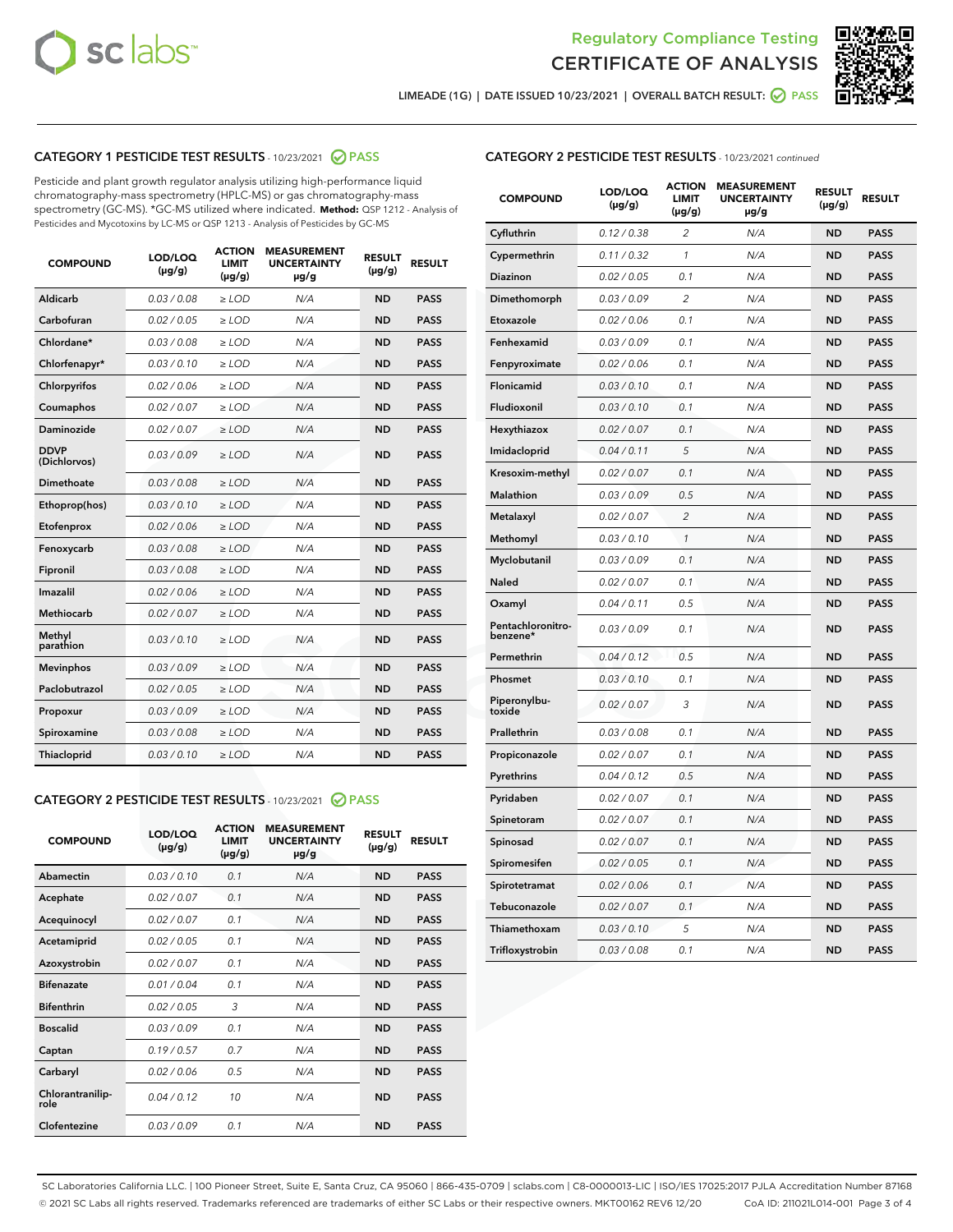



LIMEADE (1G) | DATE ISSUED 10/23/2021 | OVERALL BATCH RESULT: O PASS

# CATEGORY 1 PESTICIDE TEST RESULTS - 10/23/2021 2 PASS

Pesticide and plant growth regulator analysis utilizing high-performance liquid chromatography-mass spectrometry (HPLC-MS) or gas chromatography-mass spectrometry (GC-MS). \*GC-MS utilized where indicated. **Method:** QSP 1212 - Analysis of Pesticides and Mycotoxins by LC-MS or QSP 1213 - Analysis of Pesticides by GC-MS

| 0.03 / 0.08<br><b>ND</b><br><b>PASS</b><br>Aldicarb<br>$\ge$ LOD<br>N/A<br>Carbofuran<br>0.02 / 0.05<br>$\ge$ LOD<br>N/A<br><b>ND</b><br><b>PASS</b><br>Chlordane*<br>0.03 / 0.08<br>$\ge$ LOD<br>N/A<br><b>ND</b><br><b>PASS</b><br>Chlorfenapyr*<br>0.03/0.10<br>$\ge$ LOD<br>N/A<br><b>ND</b><br><b>PASS</b><br>Chlorpyrifos<br>0.02 / 0.06<br>N/A<br><b>ND</b><br><b>PASS</b><br>$\ge$ LOD<br>Coumaphos<br>0.02 / 0.07<br>N/A<br><b>ND</b><br><b>PASS</b><br>$\ge$ LOD<br>Daminozide<br>0.02 / 0.07<br>N/A<br><b>ND</b><br><b>PASS</b><br>$\ge$ LOD<br><b>DDVP</b><br>0.03/0.09<br>$>$ LOD<br>N/A<br><b>ND</b><br><b>PASS</b><br>(Dichlorvos)<br><b>Dimethoate</b><br>0.03 / 0.08<br>$\ge$ LOD<br><b>ND</b><br><b>PASS</b><br>N/A<br>0.03/0.10<br>N/A<br><b>ND</b><br><b>PASS</b><br>Ethoprop(hos)<br>$>$ LOD<br>N/A<br><b>ND</b><br><b>PASS</b><br>Etofenprox<br>0.02 / 0.06<br>$\ge$ LOD<br>Fenoxycarb<br>0.03 / 0.08<br>$\ge$ LOD<br>N/A<br><b>ND</b><br><b>PASS</b><br>0.03/0.08<br>$\ge$ LOD<br>N/A<br><b>ND</b><br><b>PASS</b><br>Fipronil<br>Imazalil<br>0.02 / 0.06<br>$\geq$ LOD<br>N/A<br><b>ND</b><br><b>PASS</b><br><b>Methiocarb</b><br>0.02 / 0.07<br>$\ge$ LOD<br>N/A<br><b>ND</b><br><b>PASS</b><br>Methyl<br>0.03/0.10<br>N/A<br><b>ND</b><br><b>PASS</b><br>$\ge$ LOD<br>parathion<br>0.03/0.09<br><b>Mevinphos</b><br>$\ge$ LOD<br>N/A<br><b>ND</b><br><b>PASS</b><br>Paclobutrazol<br>0.02 / 0.05<br>$>$ LOD<br>N/A<br><b>ND</b><br><b>PASS</b><br>0.03 / 0.09<br>N/A<br>$\ge$ LOD<br><b>ND</b><br><b>PASS</b><br>Propoxur<br>0.03 / 0.08<br><b>ND</b><br><b>PASS</b><br>Spiroxamine<br>$\ge$ LOD<br>N/A<br>Thiacloprid<br>0.03/0.10<br>$\ge$ LOD<br>N/A<br><b>ND</b><br><b>PASS</b> | <b>COMPOUND</b> | LOD/LOQ<br>$(\mu g/g)$ | <b>ACTION</b><br><b>LIMIT</b><br>$(\mu g/g)$ | <b>MEASUREMENT</b><br><b>UNCERTAINTY</b><br>$\mu$ g/g | <b>RESULT</b><br>$(\mu g/g)$ | <b>RESULT</b> |
|--------------------------------------------------------------------------------------------------------------------------------------------------------------------------------------------------------------------------------------------------------------------------------------------------------------------------------------------------------------------------------------------------------------------------------------------------------------------------------------------------------------------------------------------------------------------------------------------------------------------------------------------------------------------------------------------------------------------------------------------------------------------------------------------------------------------------------------------------------------------------------------------------------------------------------------------------------------------------------------------------------------------------------------------------------------------------------------------------------------------------------------------------------------------------------------------------------------------------------------------------------------------------------------------------------------------------------------------------------------------------------------------------------------------------------------------------------------------------------------------------------------------------------------------------------------------------------------------------------------------------------------------------------------------------------------------------------------|-----------------|------------------------|----------------------------------------------|-------------------------------------------------------|------------------------------|---------------|
|                                                                                                                                                                                                                                                                                                                                                                                                                                                                                                                                                                                                                                                                                                                                                                                                                                                                                                                                                                                                                                                                                                                                                                                                                                                                                                                                                                                                                                                                                                                                                                                                                                                                                                              |                 |                        |                                              |                                                       |                              |               |
|                                                                                                                                                                                                                                                                                                                                                                                                                                                                                                                                                                                                                                                                                                                                                                                                                                                                                                                                                                                                                                                                                                                                                                                                                                                                                                                                                                                                                                                                                                                                                                                                                                                                                                              |                 |                        |                                              |                                                       |                              |               |
|                                                                                                                                                                                                                                                                                                                                                                                                                                                                                                                                                                                                                                                                                                                                                                                                                                                                                                                                                                                                                                                                                                                                                                                                                                                                                                                                                                                                                                                                                                                                                                                                                                                                                                              |                 |                        |                                              |                                                       |                              |               |
|                                                                                                                                                                                                                                                                                                                                                                                                                                                                                                                                                                                                                                                                                                                                                                                                                                                                                                                                                                                                                                                                                                                                                                                                                                                                                                                                                                                                                                                                                                                                                                                                                                                                                                              |                 |                        |                                              |                                                       |                              |               |
|                                                                                                                                                                                                                                                                                                                                                                                                                                                                                                                                                                                                                                                                                                                                                                                                                                                                                                                                                                                                                                                                                                                                                                                                                                                                                                                                                                                                                                                                                                                                                                                                                                                                                                              |                 |                        |                                              |                                                       |                              |               |
|                                                                                                                                                                                                                                                                                                                                                                                                                                                                                                                                                                                                                                                                                                                                                                                                                                                                                                                                                                                                                                                                                                                                                                                                                                                                                                                                                                                                                                                                                                                                                                                                                                                                                                              |                 |                        |                                              |                                                       |                              |               |
|                                                                                                                                                                                                                                                                                                                                                                                                                                                                                                                                                                                                                                                                                                                                                                                                                                                                                                                                                                                                                                                                                                                                                                                                                                                                                                                                                                                                                                                                                                                                                                                                                                                                                                              |                 |                        |                                              |                                                       |                              |               |
|                                                                                                                                                                                                                                                                                                                                                                                                                                                                                                                                                                                                                                                                                                                                                                                                                                                                                                                                                                                                                                                                                                                                                                                                                                                                                                                                                                                                                                                                                                                                                                                                                                                                                                              |                 |                        |                                              |                                                       |                              |               |
|                                                                                                                                                                                                                                                                                                                                                                                                                                                                                                                                                                                                                                                                                                                                                                                                                                                                                                                                                                                                                                                                                                                                                                                                                                                                                                                                                                                                                                                                                                                                                                                                                                                                                                              |                 |                        |                                              |                                                       |                              |               |
|                                                                                                                                                                                                                                                                                                                                                                                                                                                                                                                                                                                                                                                                                                                                                                                                                                                                                                                                                                                                                                                                                                                                                                                                                                                                                                                                                                                                                                                                                                                                                                                                                                                                                                              |                 |                        |                                              |                                                       |                              |               |
|                                                                                                                                                                                                                                                                                                                                                                                                                                                                                                                                                                                                                                                                                                                                                                                                                                                                                                                                                                                                                                                                                                                                                                                                                                                                                                                                                                                                                                                                                                                                                                                                                                                                                                              |                 |                        |                                              |                                                       |                              |               |
|                                                                                                                                                                                                                                                                                                                                                                                                                                                                                                                                                                                                                                                                                                                                                                                                                                                                                                                                                                                                                                                                                                                                                                                                                                                                                                                                                                                                                                                                                                                                                                                                                                                                                                              |                 |                        |                                              |                                                       |                              |               |
|                                                                                                                                                                                                                                                                                                                                                                                                                                                                                                                                                                                                                                                                                                                                                                                                                                                                                                                                                                                                                                                                                                                                                                                                                                                                                                                                                                                                                                                                                                                                                                                                                                                                                                              |                 |                        |                                              |                                                       |                              |               |
|                                                                                                                                                                                                                                                                                                                                                                                                                                                                                                                                                                                                                                                                                                                                                                                                                                                                                                                                                                                                                                                                                                                                                                                                                                                                                                                                                                                                                                                                                                                                                                                                                                                                                                              |                 |                        |                                              |                                                       |                              |               |
|                                                                                                                                                                                                                                                                                                                                                                                                                                                                                                                                                                                                                                                                                                                                                                                                                                                                                                                                                                                                                                                                                                                                                                                                                                                                                                                                                                                                                                                                                                                                                                                                                                                                                                              |                 |                        |                                              |                                                       |                              |               |
|                                                                                                                                                                                                                                                                                                                                                                                                                                                                                                                                                                                                                                                                                                                                                                                                                                                                                                                                                                                                                                                                                                                                                                                                                                                                                                                                                                                                                                                                                                                                                                                                                                                                                                              |                 |                        |                                              |                                                       |                              |               |
|                                                                                                                                                                                                                                                                                                                                                                                                                                                                                                                                                                                                                                                                                                                                                                                                                                                                                                                                                                                                                                                                                                                                                                                                                                                                                                                                                                                                                                                                                                                                                                                                                                                                                                              |                 |                        |                                              |                                                       |                              |               |
|                                                                                                                                                                                                                                                                                                                                                                                                                                                                                                                                                                                                                                                                                                                                                                                                                                                                                                                                                                                                                                                                                                                                                                                                                                                                                                                                                                                                                                                                                                                                                                                                                                                                                                              |                 |                        |                                              |                                                       |                              |               |
|                                                                                                                                                                                                                                                                                                                                                                                                                                                                                                                                                                                                                                                                                                                                                                                                                                                                                                                                                                                                                                                                                                                                                                                                                                                                                                                                                                                                                                                                                                                                                                                                                                                                                                              |                 |                        |                                              |                                                       |                              |               |
|                                                                                                                                                                                                                                                                                                                                                                                                                                                                                                                                                                                                                                                                                                                                                                                                                                                                                                                                                                                                                                                                                                                                                                                                                                                                                                                                                                                                                                                                                                                                                                                                                                                                                                              |                 |                        |                                              |                                                       |                              |               |
|                                                                                                                                                                                                                                                                                                                                                                                                                                                                                                                                                                                                                                                                                                                                                                                                                                                                                                                                                                                                                                                                                                                                                                                                                                                                                                                                                                                                                                                                                                                                                                                                                                                                                                              |                 |                        |                                              |                                                       |                              |               |

#### CATEGORY 2 PESTICIDE TEST RESULTS - 10/23/2021 @ PASS

| <b>COMPOUND</b>          | LOD/LOQ<br>$(\mu g/g)$ | <b>ACTION</b><br>LIMIT<br>$(\mu g/g)$ | <b>MEASUREMENT</b><br><b>UNCERTAINTY</b><br>$\mu$ g/g | <b>RESULT</b><br>$(\mu g/g)$ | <b>RESULT</b> |  |
|--------------------------|------------------------|---------------------------------------|-------------------------------------------------------|------------------------------|---------------|--|
| Abamectin                | 0.03/0.10              | 0.1                                   | N/A                                                   | <b>ND</b>                    | <b>PASS</b>   |  |
| Acephate                 | 0.02/0.07              | 0.1                                   | N/A                                                   | <b>ND</b>                    | <b>PASS</b>   |  |
| Acequinocyl              | 0.02/0.07              | 0.1                                   | N/A                                                   | <b>ND</b>                    | <b>PASS</b>   |  |
| Acetamiprid              | 0.02/0.05              | 0.1                                   | N/A                                                   | <b>ND</b>                    | <b>PASS</b>   |  |
| Azoxystrobin             | 0.02/0.07              | 0.1                                   | N/A                                                   | <b>ND</b>                    | <b>PASS</b>   |  |
| <b>Bifenazate</b>        | 0.01 / 0.04            | 0.1                                   | N/A                                                   | <b>ND</b>                    | <b>PASS</b>   |  |
| <b>Bifenthrin</b>        | 0 02 / 0 05            | 3                                     | N/A                                                   | <b>ND</b>                    | <b>PASS</b>   |  |
| <b>Boscalid</b>          | 0.03/0.09              | 0.1                                   | N/A                                                   | <b>ND</b>                    | <b>PASS</b>   |  |
| Captan                   | 0.19/0.57              | 0.7                                   | N/A                                                   | <b>ND</b>                    | <b>PASS</b>   |  |
| Carbaryl                 | 0.02/0.06              | 0.5                                   | N/A                                                   | <b>ND</b>                    | <b>PASS</b>   |  |
| Chlorantranilip-<br>role | 0.04/0.12              | 10                                    | N/A                                                   | <b>ND</b>                    | <b>PASS</b>   |  |
| Clofentezine             | 0.03/0.09              | 0.1                                   | N/A                                                   | <b>ND</b>                    | <b>PASS</b>   |  |

| <b>CATEGORY 2 PESTICIDE TEST RESULTS</b> - 10/23/2021 continued |  |
|-----------------------------------------------------------------|--|
|                                                                 |  |

| <b>COMPOUND</b>               | LOD/LOQ<br>(µg/g) | <b>ACTION</b><br><b>LIMIT</b><br>(µg/g) | <b>MEASUREMENT</b><br><b>UNCERTAINTY</b><br>µg/g | <b>RESULT</b><br>(µg/g) | <b>RESULT</b> |
|-------------------------------|-------------------|-----------------------------------------|--------------------------------------------------|-------------------------|---------------|
| Cyfluthrin                    | 0.12 / 0.38       | $\overline{c}$                          | N/A                                              | <b>ND</b>               | <b>PASS</b>   |
| Cypermethrin                  | 0.11 / 0.32       | 1                                       | N/A                                              | <b>ND</b>               | <b>PASS</b>   |
| <b>Diazinon</b>               | 0.02 / 0.05       | 0.1                                     | N/A                                              | <b>ND</b>               | <b>PASS</b>   |
| Dimethomorph                  | 0.03 / 0.09       | 2                                       | N/A                                              | <b>ND</b>               | <b>PASS</b>   |
| Etoxazole                     | 0.02 / 0.06       | 0.1                                     | N/A                                              | <b>ND</b>               | <b>PASS</b>   |
| Fenhexamid                    | 0.03 / 0.09       | 0.1                                     | N/A                                              | <b>ND</b>               | <b>PASS</b>   |
| Fenpyroximate                 | 0.02 / 0.06       | 0.1                                     | N/A                                              | <b>ND</b>               | <b>PASS</b>   |
| Flonicamid                    | 0.03 / 0.10       | 0.1                                     | N/A                                              | <b>ND</b>               | <b>PASS</b>   |
| Fludioxonil                   | 0.03 / 0.10       | 0.1                                     | N/A                                              | <b>ND</b>               | <b>PASS</b>   |
| Hexythiazox                   | 0.02 / 0.07       | 0.1                                     | N/A                                              | <b>ND</b>               | <b>PASS</b>   |
| Imidacloprid                  | 0.04 / 0.11       | 5                                       | N/A                                              | <b>ND</b>               | <b>PASS</b>   |
| Kresoxim-methyl               | 0.02 / 0.07       | 0.1                                     | N/A                                              | <b>ND</b>               | <b>PASS</b>   |
| Malathion                     | 0.03 / 0.09       | 0.5                                     | N/A                                              | <b>ND</b>               | <b>PASS</b>   |
| Metalaxyl                     | 0.02 / 0.07       | $\overline{c}$                          | N/A                                              | <b>ND</b>               | <b>PASS</b>   |
| Methomyl                      | 0.03 / 0.10       | $\mathcal{I}$                           | N/A                                              | <b>ND</b>               | <b>PASS</b>   |
| Myclobutanil                  | 0.03 / 0.09       | 0.1                                     | N/A                                              | <b>ND</b>               | <b>PASS</b>   |
| <b>Naled</b>                  | 0.02 / 0.07       | 0.1                                     | N/A                                              | <b>ND</b>               | <b>PASS</b>   |
| Oxamyl                        | 0.04 / 0.11       | 0.5                                     | N/A                                              | <b>ND</b>               | <b>PASS</b>   |
| Pentachloronitro-<br>benzene* | 0.03/0.09         | 0.1                                     | N/A                                              | <b>ND</b>               | <b>PASS</b>   |
| Permethrin                    | 0.04 / 0.12       | 0.5                                     | N/A                                              | <b>ND</b>               | <b>PASS</b>   |
| Phosmet                       | 0.03 / 0.10       | 0.1                                     | N/A                                              | <b>ND</b>               | <b>PASS</b>   |
| Piperonylbu-<br>toxide        | 0.02 / 0.07       | 3                                       | N/A                                              | <b>ND</b>               | <b>PASS</b>   |
| Prallethrin                   | 0.03 / 0.08       | 0.1                                     | N/A                                              | <b>ND</b>               | <b>PASS</b>   |
| Propiconazole                 | 0.02 / 0.07       | 0.1                                     | N/A                                              | <b>ND</b>               | <b>PASS</b>   |
| Pyrethrins                    | 0.04 / 0.12       | 0.5                                     | N/A                                              | <b>ND</b>               | <b>PASS</b>   |
| Pyridaben                     | 0.02 / 0.07       | 0.1                                     | N/A                                              | <b>ND</b>               | <b>PASS</b>   |
| Spinetoram                    | 0.02 / 0.07       | 0.1                                     | N/A                                              | <b>ND</b>               | <b>PASS</b>   |
| Spinosad                      | 0.02 / 0.07       | 0.1                                     | N/A                                              | <b>ND</b>               | <b>PASS</b>   |
| Spiromesifen                  | 0.02 / 0.05       | 0.1                                     | N/A                                              | <b>ND</b>               | <b>PASS</b>   |
| Spirotetramat                 | 0.02 / 0.06       | 0.1                                     | N/A                                              | ND                      | <b>PASS</b>   |
| Tebuconazole                  | 0.02 / 0.07       | 0.1                                     | N/A                                              | <b>ND</b>               | <b>PASS</b>   |
| Thiamethoxam                  | 0.03 / 0.10       | 5                                       | N/A                                              | <b>ND</b>               | <b>PASS</b>   |
| Trifloxystrobin               | 0.03 / 0.08       | 0.1                                     | N/A                                              | <b>ND</b>               | <b>PASS</b>   |

SC Laboratories California LLC. | 100 Pioneer Street, Suite E, Santa Cruz, CA 95060 | 866-435-0709 | sclabs.com | C8-0000013-LIC | ISO/IES 17025:2017 PJLA Accreditation Number 87168 © 2021 SC Labs all rights reserved. Trademarks referenced are trademarks of either SC Labs or their respective owners. MKT00162 REV6 12/20 CoA ID: 211021L014-001 Page 3 of 4